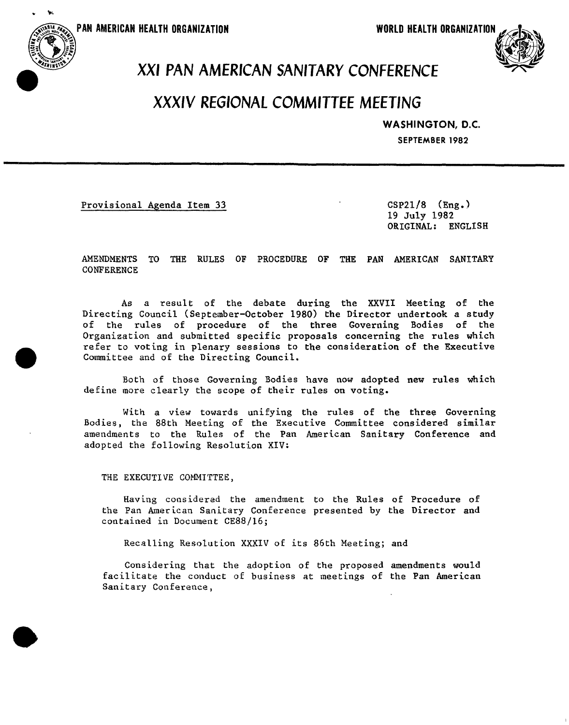PAN AMERICAN HEALTH ORGANIZATION

**WORLD HEALTH ORGANIZATION** 



## **PANAMERICAHEALTH** <sup>N</sup> **ORGANIZATION WORLDHEALTHORGANIZATION** \_-b**.**\_, XX**I** P**A**N**AME**R**I**C**A**NS**A**N**I**T**AR**YCO**NF**E**REN**CE

### XXX**I**V REGIONALCOMM**I**TTEEMEET**I**NG

#### W**A**SHI**NO**T**ON**, **D**.**C**.

**SEP**T**EMBER1982**

Provisional Agenda Item 33 CSP21/8 (Eng.)

استور ما بروستی سر کی با تک سانس ماد آب این تر باند از نیست انگلیسی سر سال ۱۳۰۱ دارد این پنیتو کانت انکلیسی بر ب

19 July 198**2** ORIGINAL**:** ENGLISH

AMENDMENTS TO THE RULES OF **P**ROCEDURE OF T**H**E PAN AMERICAN SANITARY **CONFERENCE** 

As a result of the debate during the XXVII Meeting of the Directing Council (September-October 1980) the Director underto**o**k a study of the rules of procedure of the three Governing Bodies of the Organization and submitted specific proposals concerning the rules which refer to voting in plenary sessions to the consid**e**ration **o**f the Executive Committee and of th**e** Directing Council.

Both of those Governing Bodies have n**o**w adopted new rules which define more clearly the scope of their rules on voting.

With a view towards unifying the rules of the thre**e** Governing Bodies, the 88th Meeting of the Executive Committee considered similar amendments to the Rules of the Pan American Sanitary Conference and adopted the following Resolution XIV:

THE EXECUTIVE COMMITTEE,

Having considered the amendment to the Rules **o**f Procedure of the Pan American Sanitary Conference present**e**d by the Director and contained in Document CE88/16;

Recalling Resolution XXXIV of its 86th Meeting; and

Considering that the adoption of the proposed amendments would facilitate the conduct of business at meetings of the Pan American Sanitary Conference,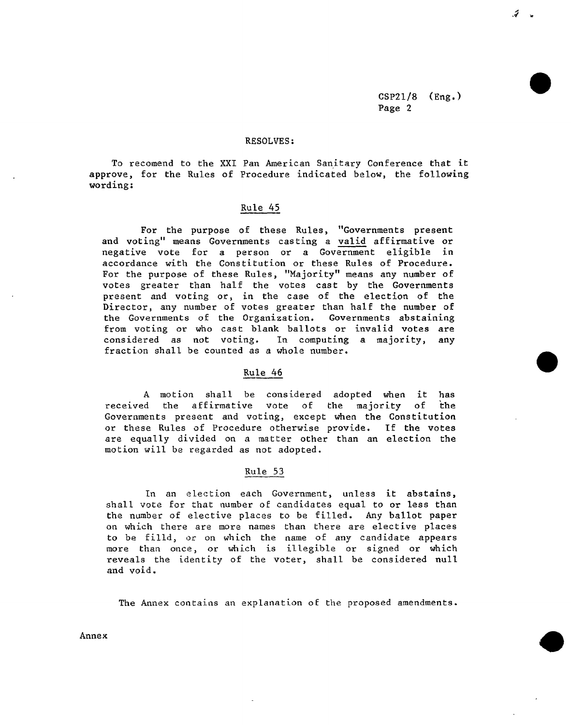$CSP21/8$  (Eng.) Page 2

 $\tilde{\mathcal{L}}$ 

#### RESOLVES:

To recomend to the XXI Pan American Sanitary Conference that it approve, for the Rules of Procedure indicated below, the following wording:

#### Rule 45

For the purpose of these Rules, "Governments present and voting" means Governments casting a valid affirmative or negative vote for a person or a Government eligible in accordance with the Constitution or these Rules of Procedure. For the purpose of these Rules, "Majority" means any number of votes greater than half the votes cast by the Governments present and voting or, in the case of the election of the Director, any number of votes greater than half the number of the Governments of the Organization. Governments abstaining from voting or who cast blank ballots or invalid votes are considered as not voting. In computing a majority, any In computing a majority, any fraction shall be counted as a whole number.

#### Rule 46

A motion shall be considered adopted when it has<br>d the affirmative vote of the majority of the received the affirmative vote of Governments present and voting, except when the Constitution or these Rules of Procedure otherwise provide. If the votes are equally divided on a matter other than an election the motion will be regarded as not adopted.

#### Rule 53

In an election each Government, unless it abstains, shall vote for that number of candidates equal to or less than the number of elective places to be filled. Any ballot paper on which there are more names than there are elective places to be filld, or on which the name of any candidate appears more than once, or which is illegible or signed or which reveals the identity of the voter, shall be considered null and void.

The Annex contains an explanation of the proposed amendments.

Annex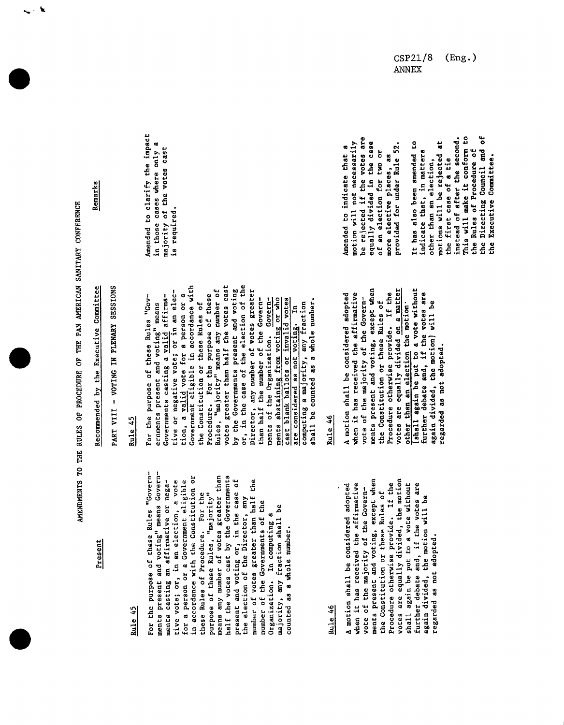AMENDMENTS TO THE RULES OF PROCEDURE OF THE PAN AMERICAN SANITARY CONFERENCE

Remarks

ا<br>سار

Present

## Rule 45

For the purpose of these Rules "Governments present and voting" means Governmeans any number of votes greater than in accordance with the Constitution or half the votes cast by the Governments ments casting an affirmative or negative vote; or, in an election, a vote for a person or a Government eligible present and voting or, in the case of<br>the election of the Director, any number of votes greater than half the these Rules of Procedure. For the purpose of these Rules, "majority" number of the Governments of the majority, any fraction shall be Organization. In computing a counted as a whole number.

## Rule 46

vote of the majority of the Govern-<br>ments present and voting, except when votes are equally divided, the motion Procedure otherwise provide. If the further debate and, if the votes are<br>again divided, the motion will be when it has received the affirmative shall again be put to a vote without A motion shall be considered adopted the Constitution or these Rules of regarded as not adopted.

# PART VIII - VOTING IN PLENARY SESSIONS

Recommended by the Executive Committee

## Rule 45

tion, a valid vote for a person or a<br>Government eligible in accordance with or, in the case of the election of the votes greater than half the votes cast Director, any number of votes greater<br>than half the number of the Governtive or negative vote; or in an elec-Rules, "majority" means any number of by the Governments present and voting Governments casting a valid affirma-Procedure. For the purpose of these For the purpose of these Rules "Govments of the Organization. Governments abstaining from voting or who<br>cast blank ballots or invalid votes computing a majority, any fraction<br>shall be counted as a whole number. the Constitution or these Rules of ernments present and voting" means are considered as not voting. In

# **Rule 46**

vote of the majority of the Govern-<br>ments present and voting, except when<br>the Constitution or these Rules of shall again be put to a vote without votes are equally divided on a matter Procedure otherwise provide. If the further debate and, if the votes are when it has received the affirmative A motion shall be considered adopted again divided, the motion] will be other than an election the motion regarded as not adopted.

Amended to clarify the impact in those cases where only a majority of the votes cast is required.

be rejected if the votes are equally divided in the case motion will not necessarily provided for under Rule 52. Amended to indicate that a of an election for two or more elective places, as

This will make it conform to the Directing Council and of instead of after the second. S motions will be rejected at the Rules of Procedure of indicate that, in matters It has also been amended the Executive Committee. other than an election, the first case of a tie

CSP21/8  $(Eng.)$ **ANNEX**